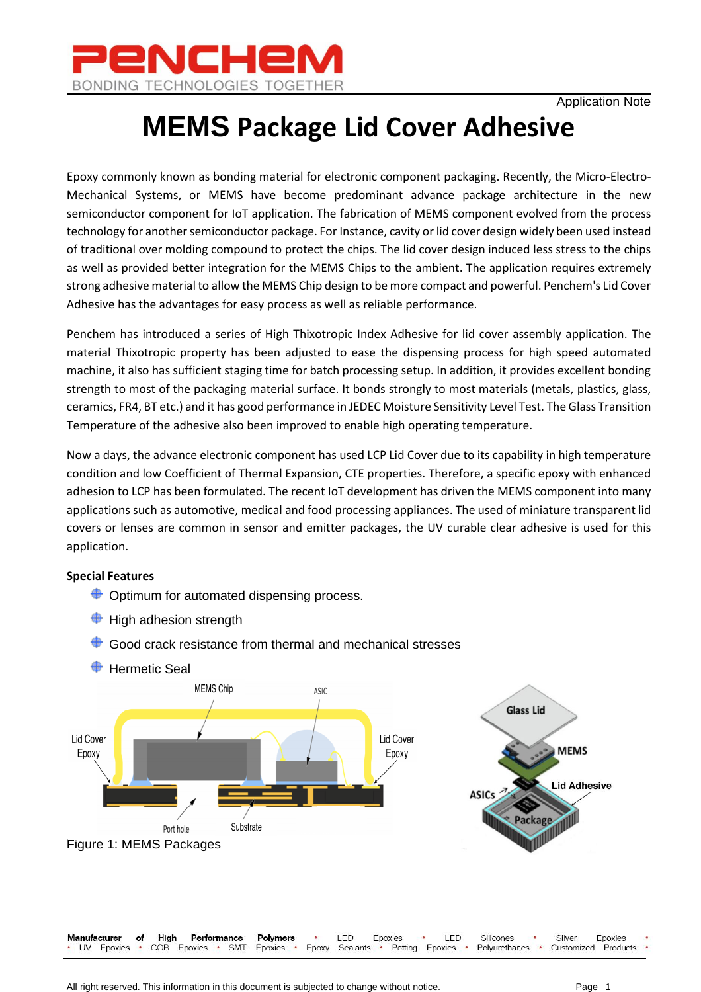

# **MEMS Package Lid Cover Adhesive**

Epoxy commonly known as bonding material for electronic component packaging. Recently, the Micro-Electro-Mechanical Systems, or MEMS have become predominant advance package architecture in the new semiconductor component for IoT application. The fabrication of MEMS component evolved from the process technology for another semiconductor package. For Instance, cavity or lid cover design widely been used instead of traditional over molding compound to protect the chips. The lid cover design induced less stress to the chips as well as provided better integration for the MEMS Chips to the ambient. The application requires extremely strong adhesive material to allow the MEMS Chip design to be more compact and powerful. Penchem's Lid Cover Adhesive has the advantages for easy process as well as reliable performance.

Penchem has introduced a series of High Thixotropic Index Adhesive for lid cover assembly application. The material Thixotropic property has been adjusted to ease the dispensing process for high speed automated machine, it also has sufficient staging time for batch processing setup. In addition, it provides excellent bonding strength to most of the packaging material surface. It bonds strongly to most materials (metals, plastics, glass, ceramics, FR4, BT etc.) and it has good performance in JEDEC Moisture Sensitivity Level Test. The Glass Transition Temperature of the adhesive also been improved to enable high operating temperature.

Now a days, the advance electronic component has used LCP Lid Cover due to its capability in high temperature condition and low Coefficient of Thermal Expansion, CTE properties. Therefore, a specific epoxy with enhanced adhesion to LCP has been formulated. The recent IoT development has driven the MEMS component into many applications such as automotive, medical and food processing appliances. The used of miniature transparent lid covers or lenses are common in sensor and emitter packages, the UV curable clear adhesive is used for this application.

#### **Special Features**

- $\bigoplus$  Optimum for automated dispensing process.
- $\bigoplus$  High adhesion strength



 $\bigoplus$  Good crack resistance from thermal and mechanical stresses